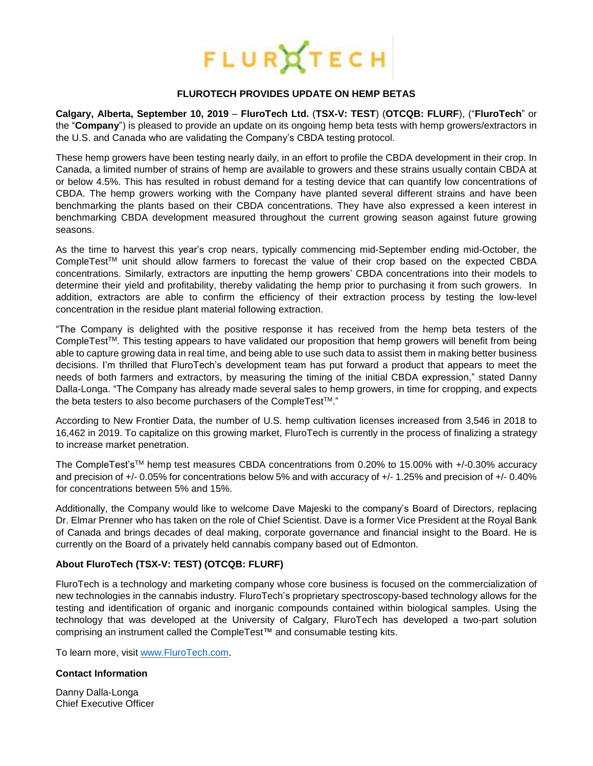

## **FLUROTECH PROVIDES UPDATE ON HEMP BETAS**

**Calgary, Alberta, September 10, 2019** – **[FluroTech](http://flurotech.com/) Ltd.** (**TSX-V: [TEST](http://flurotech.com/investors/)**) (**OTCQB: [FLURF](https://www.otcmarkets.com/stock/FLURF/overview)**), ("**FluroTech**" or the "**Company**") is pleased to provide an update on its ongoing hemp beta tests with hemp growers/extractors in the U.S. and Canada who are validating the Company's CBDA testing protocol.

These hemp growers have been testing nearly daily, in an effort to profile the CBDA development in their crop. In Canada, a limited number of strains of hemp are available to growers and these strains usually contain CBDA at or below 4.5%. This has resulted in robust demand for a testing device that can quantify low concentrations of CBDA. The hemp growers working with the Company have planted several different strains and have been benchmarking the plants based on their CBDA concentrations. They have also expressed a keen interest in benchmarking CBDA development measured throughout the current growing season against future growing seasons.

As the time to harvest this year's crop nears, typically commencing mid-September ending mid-October, the CompleTestTM unit should allow farmers to forecast the value of their crop based on the expected CBDA concentrations. Similarly, extractors are inputting the hemp growers' CBDA concentrations into their models to determine their yield and profitability, thereby validating the hemp prior to purchasing it from such growers. In addition, extractors are able to confirm the efficiency of their extraction process by testing the low-level concentration in the residue plant material following extraction.

"The Company is delighted with the positive response it has received from the hemp beta testers of the CompleTestTM. This testing appears to have validated our proposition that hemp growers will benefit from being able to capture growing data in real time, and being able to use such data to assist them in making better business decisions. I'm thrilled that FluroTech's development team has put forward a product that appears to meet the needs of both farmers and extractors, by measuring the timing of the initial CBDA expression," stated Danny Dalla-Longa. "The Company has already made several sales to hemp growers, in time for cropping, and expects the beta testers to also become purchasers of the CompleTestTM."

According to New Frontier Data, the number of U.S. hemp cultivation licenses increased from 3,546 in 2018 to 16,462 in 2019. To capitalize on this growing market, FluroTech is currently in the process of finalizing a strategy to increase market penetration.

The CompleTest'sTM hemp test measures CBDA concentrations from 0.20% to 15.00% with +/-0.30% accuracy and precision of +/- 0.05% for concentrations below 5% and with accuracy of +/- 1.25% and precision of +/- 0.40% for concentrations between 5% and 15%.

Additionally, the Company would like to welcome Dave Majeski to the company's Board of Directors, replacing Dr. Elmar Prenner who has taken on the role of Chief Scientist. Dave is a former Vice President at the Royal Bank of Canada and brings decades of deal making, corporate governance and financial insight to the Board. He is currently on the Board of a privately held cannabis company based out of Edmonton.

## **About [FluroTech](http://flurotech.com/) (TSX-V: [TEST\)](http://flurotech.com/investors/) (OTCQB: [FLURF\)](https://www.otcmarkets.com/stock/FLURF/overview)**

[FluroTech](http://flurotech.com/) is a technology and marketing company whose core business is focused on the commercialization of new technologies in the cannabis industry. [FluroTech's](http://flurotech.com/) proprietary spectroscopy-based technology allows for the testing and identification of organic and inorganic compounds contained within biological samples. Using the technology that was developed at the University of Calgary, [FluroTech](http://flurotech.com/) has developed a two-part solution comprising an instrument called the [CompleTest™](http://flurotech.com/completest/) and consumable testing kits.

To learn more, visit [www.FluroTech.com](http://www.flurotech.com/).

## **Contact Information**

Danny Dalla-Longa Chief Executive Officer